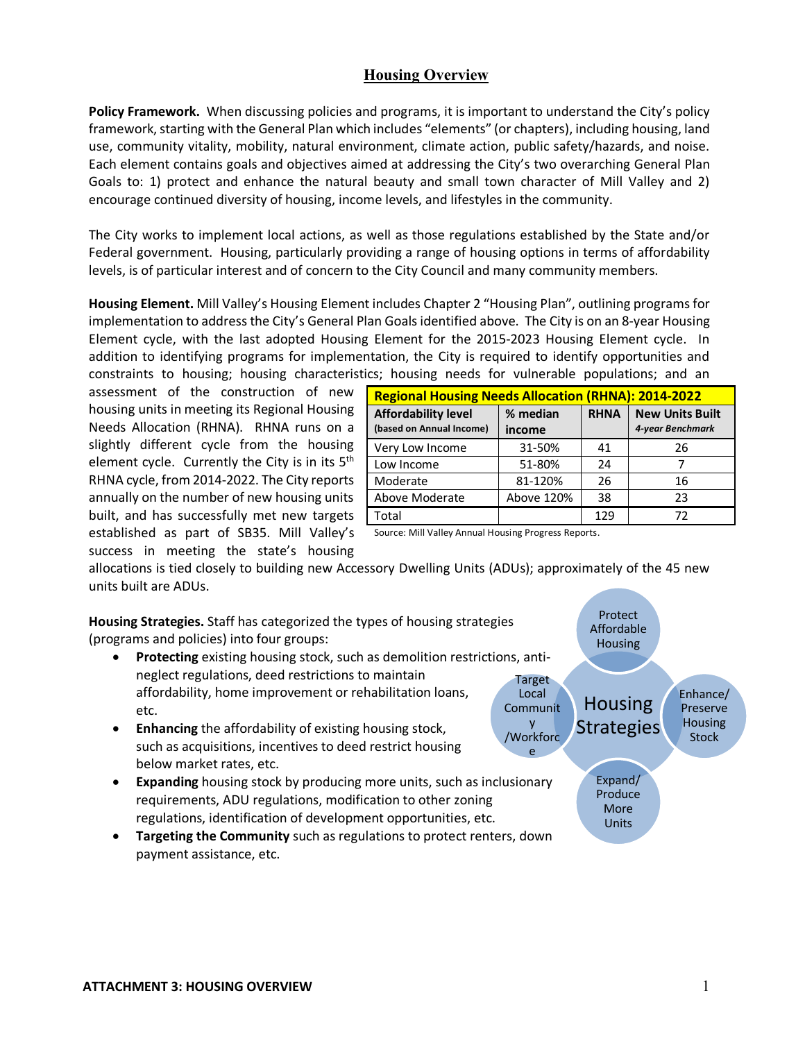# **Housing Overview**

**Policy Framework.** When discussing policies and programs, it is important to understand the City's policy framework, starting with the General Plan which includes "elements" (or chapters), including housing, land use, community vitality, mobility, natural environment, climate action, public safety/hazards, and noise. Each element contains goals and objectives aimed at addressing the City's two overarching General Plan Goals to: 1) protect and enhance the natural beauty and small town character of Mill Valley and 2) encourage continued diversity of housing, income levels, and lifestyles in the community.

The City works to implement local actions, as well as those regulations established by the State and/or Federal government. Housing, particularly providing a range of housing options in terms of affordability levels, is of particular interest and of concern to the City Council and many community members.

**Housing Element.** Mill Valley's Housing Element includes Chapter 2 "Housing Plan", outlining programs for implementation to address the City's General Plan Goals identified above. The City is on an 8-year Housing Element cycle, with the last adopted Housing Element for the 2015-2023 Housing Element cycle. In addition to identifying programs for implementation, the City is required to identify opportunities and constraints to housing; housing characteristics; housing needs for vulnerable populations; and an

assessment of the construction of new housing units in meeting its Regional Housing Needs Allocation (RHNA). RHNA runs on a slightly different cycle from the housing element cycle. Currently the City is in its 5<sup>th</sup> RHNA cycle, from 2014-2022. The City reports annually on the number of new housing units built, and has successfully met new targets established as part of SB35. Mill Valley's success in meeting the state's housing

| <b>Regional Housing Needs Allocation (RHNA): 2014-2022</b> |                    |             |                                            |  |
|------------------------------------------------------------|--------------------|-------------|--------------------------------------------|--|
| <b>Affordability level</b><br>(based on Annual Income)     | % median<br>income | <b>RHNA</b> | <b>New Units Built</b><br>4-year Benchmark |  |
| Very Low Income                                            | 31-50%             | 41          | 26                                         |  |
| Low Income                                                 | 51-80%             | 24          |                                            |  |
| Moderate                                                   | 81-120%            | 26          | 16                                         |  |
| Above Moderate                                             | Above 120%         | 38          | 23                                         |  |
| Total                                                      |                    | 129         | 72                                         |  |

Source: Mill Valley Annual Housing Progress Reports.

allocations is tied closely to building new Accessory Dwelling Units (ADUs); approximately of the 45 new units built are ADUs.

**Housing Strategies.** Staff has categorized the types of housing strategies (programs and policies) into four groups:

- **Protecting** existing housing stock, such as demolition restrictions, antineglect regulations, deed restrictions to maintain affordability, home improvement or rehabilitation loans, etc.
- **Enhancing** the affordability of existing housing stock, such as acquisitions, incentives to deed restrict housing below market rates, etc.
- **Expanding** housing stock by producing more units, such as inclusionary requirements, ADU regulations, modification to other zoning regulations, identification of development opportunities, etc.
- **Targeting the Community** such as regulations to protect renters, down payment assistance, etc.

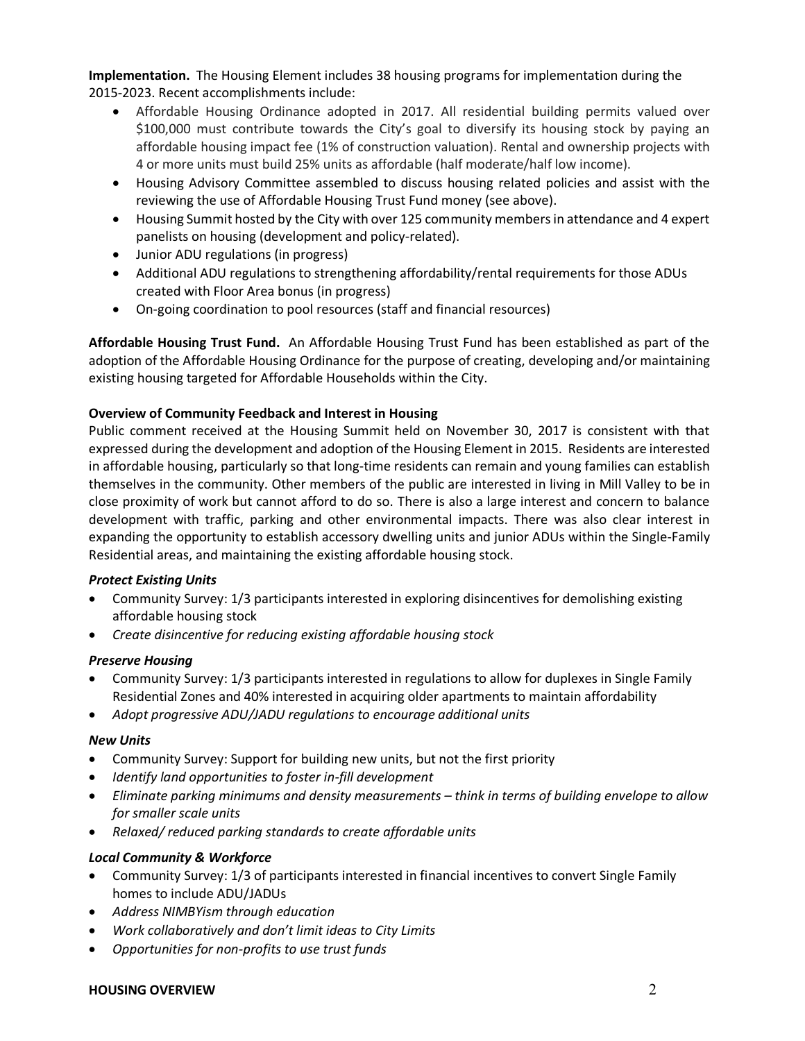**Implementation.** The Housing Element includes 38 housing programs for implementation during the 2015-2023. Recent accomplishments include:

- Affordable Housing Ordinance adopted in 2017. All residential building permits valued over \$100,000 must contribute towards the City's goal to diversify its housing stock by paying an affordable housing impact fee (1% of construction valuation). Rental and ownership projects with 4 or more units must build 25% units as affordable (half moderate/half low income).
- Housing Advisory Committee assembled to discuss housing related policies and assist with the reviewing the use of Affordable Housing Trust Fund money (see above).
- Housing Summit hosted by the City with over 125 community members in attendance and 4 expert panelists on housing (development and policy-related).
- Junior ADU regulations (in progress)
- Additional ADU regulations to strengthening affordability/rental requirements for those ADUs created with Floor Area bonus (in progress)
- On-going coordination to pool resources (staff and financial resources)

**Affordable Housing Trust Fund.** An Affordable Housing Trust Fund has been established as part of the adoption of the Affordable Housing Ordinance for the purpose of creating, developing and/or maintaining existing housing targeted for Affordable Households within the City.

# **Overview of Community Feedback and Interest in Housing**

Public comment received at the Housing Summit held on November 30, 2017 is consistent with that expressed during the development and adoption of the Housing Element in 2015. Residents are interested in affordable housing, particularly so that long-time residents can remain and young families can establish themselves in the community. Other members of the public are interested in living in Mill Valley to be in close proximity of work but cannot afford to do so. There is also a large interest and concern to balance development with traffic, parking and other environmental impacts. There was also clear interest in expanding the opportunity to establish accessory dwelling units and junior ADUs within the Single-Family Residential areas, and maintaining the existing affordable housing stock.

# *Protect Existing Units*

- Community Survey: 1/3 participants interested in exploring disincentives for demolishing existing affordable housing stock
- *Create disincentive for reducing existing affordable housing stock*

# *Preserve Housing*

- Community Survey: 1/3 participants interested in regulations to allow for duplexes in Single Family Residential Zones and 40% interested in acquiring older apartments to maintain affordability
- *Adopt progressive ADU/JADU regulations to encourage additional units*

# *New Units*

- Community Survey: Support for building new units, but not the first priority
- *Identify land opportunities to foster in-fill development*
- *Eliminate parking minimums and density measurements – think in terms of building envelope to allow for smaller scale units*
- *Relaxed/ reduced parking standards to create affordable units*

# *Local Community & Workforce*

- Community Survey: 1/3 of participants interested in financial incentives to convert Single Family homes to include ADU/JADUs
- *Address NIMBYism through education*
- *Work collaboratively and don't limit ideas to City Limits*
- *Opportunities for non-profits to use trust funds*

### **HOUSING OVERVIEW** 2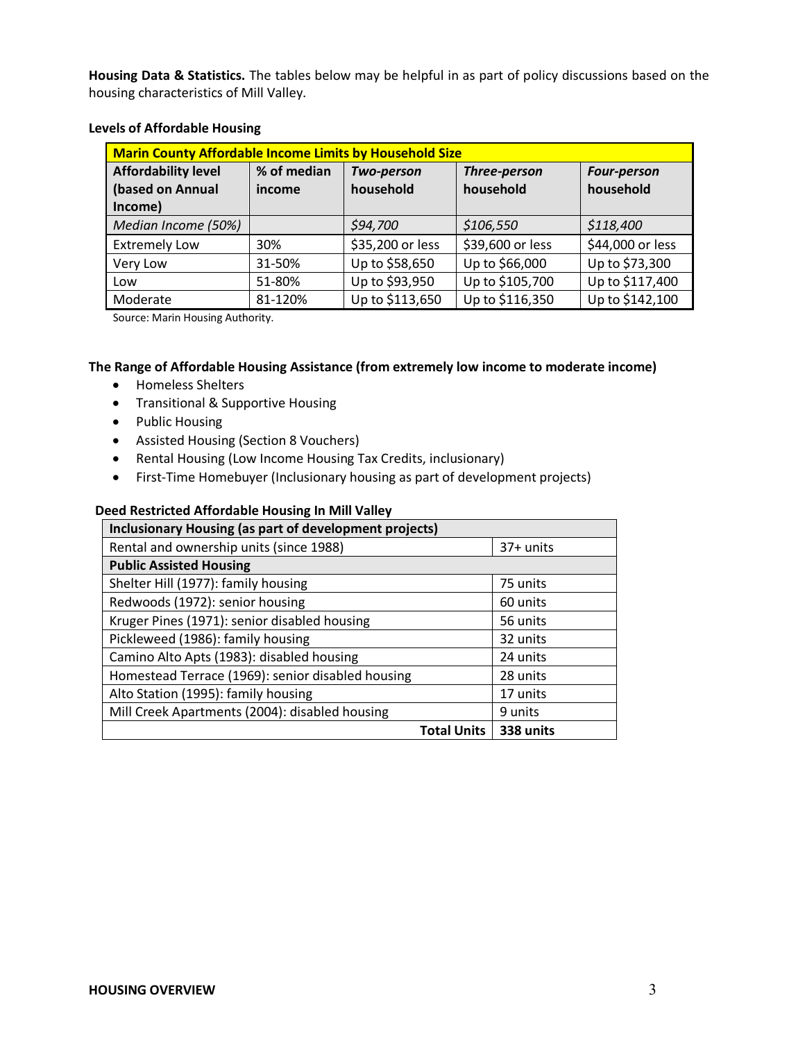**Housing Data & Statistics.** The tables below may be helpful in as part of policy discussions based on the housing characteristics of Mill Valley.

| <b>Marin County Affordable Income Limits by Household Size</b> |             |                  |                  |                    |
|----------------------------------------------------------------|-------------|------------------|------------------|--------------------|
| <b>Affordability level</b>                                     | % of median | Two-person       | Three-person     | <b>Four-person</b> |
| (based on Annual<br>Income)                                    | income      | household        | household        | household          |
| Median Income (50%)                                            |             | \$94,700         | \$106,550        | \$118,400          |
| <b>Extremely Low</b>                                           | 30%         | \$35,200 or less | \$39,600 or less | \$44,000 or less   |
| Very Low                                                       | 31-50%      | Up to \$58,650   | Up to \$66,000   | Up to \$73,300     |
| Low                                                            | 51-80%      | Up to \$93,950   | Up to \$105,700  | Up to \$117,400    |
| Moderate                                                       | 81-120%     | Up to \$113,650  | Up to \$116,350  | Up to \$142,100    |

### **Levels of Affordable Housing**

Source: Marin Housing Authority.

# **The Range of Affordable Housing Assistance (from extremely low income to moderate income)**

- Homeless Shelters
- Transitional & Supportive Housing
- Public Housing
- Assisted Housing (Section 8 Vouchers)
- Rental Housing (Low Income Housing Tax Credits, inclusionary)
- First-Time Homebuyer (Inclusionary housing as part of development projects)

#### **Deed Restricted Affordable Housing In Mill Valley**

| Inclusionary Housing (as part of development projects) |             |  |  |
|--------------------------------------------------------|-------------|--|--|
| Rental and ownership units (since 1988)                | $37+$ units |  |  |
| <b>Public Assisted Housing</b>                         |             |  |  |
| Shelter Hill (1977): family housing                    | 75 units    |  |  |
| Redwoods (1972): senior housing                        | 60 units    |  |  |
| Kruger Pines (1971): senior disabled housing           | 56 units    |  |  |
| Pickleweed (1986): family housing                      | 32 units    |  |  |
| Camino Alto Apts (1983): disabled housing              | 24 units    |  |  |
| Homestead Terrace (1969): senior disabled housing      | 28 units    |  |  |
| Alto Station (1995): family housing                    | 17 units    |  |  |
| Mill Creek Apartments (2004): disabled housing         | 9 units     |  |  |
| <b>Total Units</b>                                     | 338 units   |  |  |